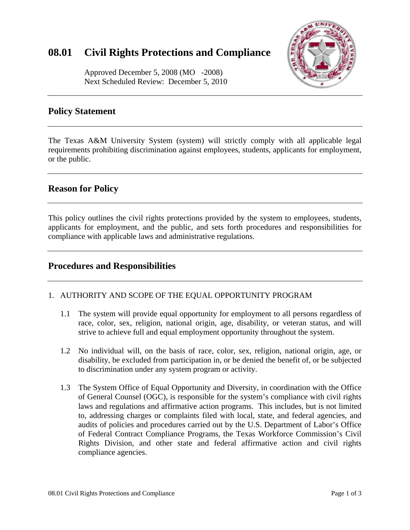# **08.01 Civil Rights Protections and Compliance**



Approved December 5, 2008 (MO -2008) Next Scheduled Review: December 5, 2010

# **Policy Statement**

The Texas A&M University System (system) will strictly comply with all applicable legal requirements prohibiting discrimination against employees, students, applicants for employment, or the public.

# **Reason for Policy**

This policy outlines the civil rights protections provided by the system to employees, students, applicants for employment, and the public, and sets forth procedures and responsibilities for compliance with applicable laws and administrative regulations.

### **Procedures and Responsibilities**

#### 1. AUTHORITY AND SCOPE OF THE EQUAL OPPORTUNITY PROGRAM

- 1.1 The system will provide equal opportunity for employment to all persons regardless of race, color, sex, religion, national origin, age, disability, or veteran status, and will strive to achieve full and equal employment opportunity throughout the system.
- 1.2 No individual will, on the basis of race, color, sex, religion, national origin, age, or disability, be excluded from participation in, or be denied the benefit of, or be subjected to discrimination under any system program or activity.
- 1.3 The System Office of Equal Opportunity and Diversity, in coordination with the Office of General Counsel (OGC), is responsible for the system's compliance with civil rights laws and regulations and affirmative action programs. This includes, but is not limited to, addressing charges or complaints filed with local, state, and federal agencies, and audits of policies and procedures carried out by the U.S. Department of Labor's Office of Federal Contract Compliance Programs, the Texas Workforce Commission's Civil Rights Division, and other state and federal affirmative action and civil rights compliance agencies.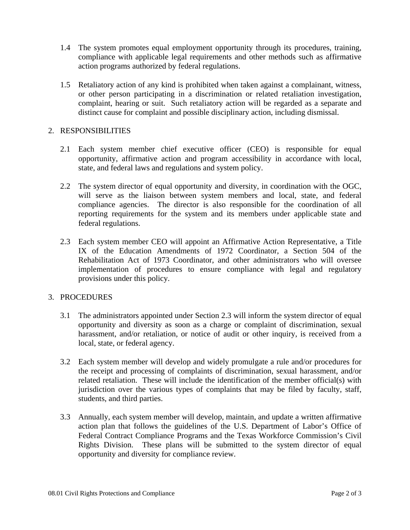- 1.4 The system promotes equal employment opportunity through its procedures, training, compliance with applicable legal requirements and other methods such as affirmative action programs authorized by federal regulations.
- 1.5 Retaliatory action of any kind is prohibited when taken against a complainant, witness, or other person participating in a discrimination or related retaliation investigation, complaint, hearing or suit. Such retaliatory action will be regarded as a separate and distinct cause for complaint and possible disciplinary action, including dismissal.

#### 2. RESPONSIBILITIES

- 2.1 Each system member chief executive officer (CEO) is responsible for equal opportunity, affirmative action and program accessibility in accordance with local, state, and federal laws and regulations and system policy.
- 2.2 The system director of equal opportunity and diversity, in coordination with the OGC, will serve as the liaison between system members and local, state, and federal compliance agencies. The director is also responsible for the coordination of all reporting requirements for the system and its members under applicable state and federal regulations.
- 2.3 Each system member CEO will appoint an Affirmative Action Representative, a Title IX of the Education Amendments of 1972 Coordinator, a Section 504 of the Rehabilitation Act of 1973 Coordinator, and other administrators who will oversee implementation of procedures to ensure compliance with legal and regulatory provisions under this policy.

#### 3. PROCEDURES

- 3.1 The administrators appointed under Section 2.3 will inform the system director of equal opportunity and diversity as soon as a charge or complaint of discrimination, sexual harassment, and/or retaliation, or notice of audit or other inquiry, is received from a local, state, or federal agency.
- 3.2 Each system member will develop and widely promulgate a rule and/or procedures for the receipt and processing of complaints of discrimination, sexual harassment, and/or related retaliation. These will include the identification of the member official(s) with jurisdiction over the various types of complaints that may be filed by faculty, staff, students, and third parties.
- 3.3 Annually, each system member will develop, maintain, and update a written affirmative action plan that follows the guidelines of the U.S. Department of Labor's Office of Federal Contract Compliance Programs and the Texas Workforce Commission's Civil Rights Division. These plans will be submitted to the system director of equal opportunity and diversity for compliance review.